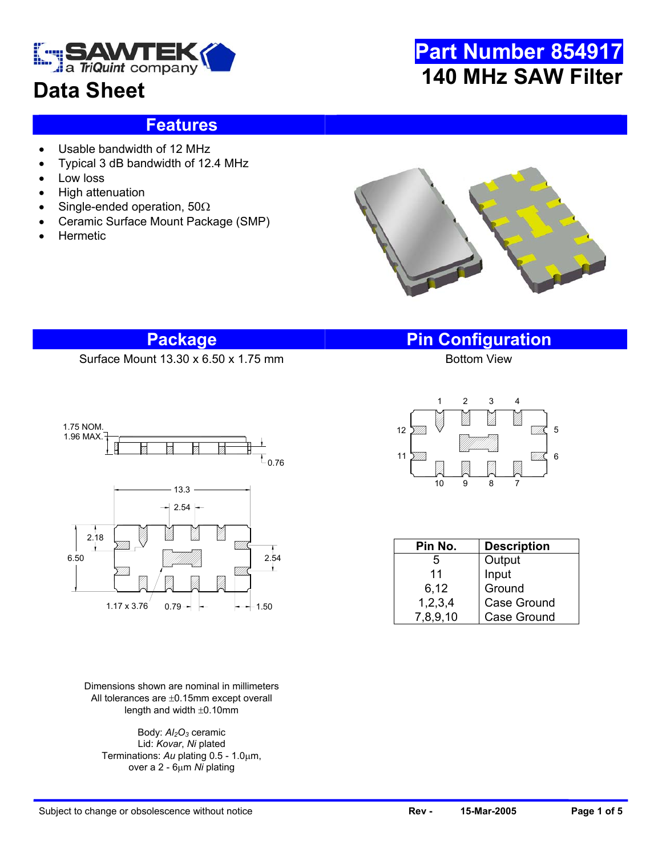

### **Data Sheet**

## **Part Number 854917 140 MHz SAW Filter**

#### **Features**

- Usable bandwidth of 12 MHz
- Typical 3 dB bandwidth of 12.4 MHz
- Low loss
- High attenuation
- Single-ended operation, 50Ω
- Ceramic Surface Mount Package (SMP)
- **Hermetic**



#### **Package Pin Configuration**

Surface Mount  $13.30 \times 6.50 \times 1.75$  mm



Dimensions shown are nominal in millimeters All tolerances are ±0.15mm except overall length and width ±0.10mm

Body:  $Al<sub>2</sub>O<sub>3</sub>$  ceramic Lid: *Kovar*, *Ni* plated Terminations: *Au* plating 0.5 - 1.0µm, over a 2 - 6µm *Ni* plating



| Pin No.    | <b>Description</b> |  |  |  |  |
|------------|--------------------|--|--|--|--|
| 5          | Output             |  |  |  |  |
| 11         | Input              |  |  |  |  |
| 6,12       | Ground             |  |  |  |  |
| 1, 2, 3, 4 | Case Ground        |  |  |  |  |
| 7,8,9,10   | <b>Case Ground</b> |  |  |  |  |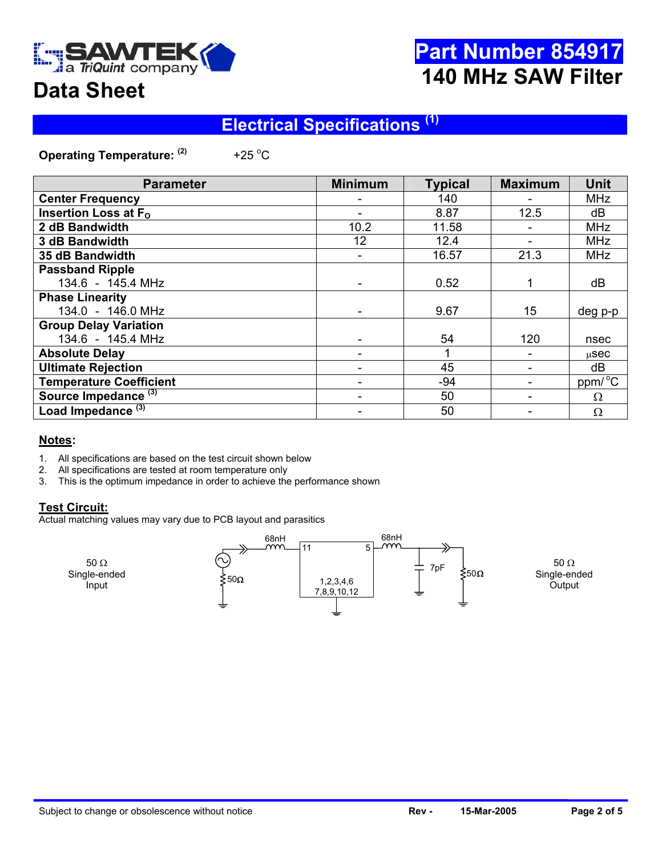

## **Part Number 854917 140 MHz SAW Filter**

## **Data Sheet**

### **Electrical Specifications (1)**

**Operating Temperature: (2)** +25 $^{\circ}$ C

| <b>Parameter</b>                | <b>Minimum</b> | <b>Typical</b> | <b>Maximum</b> | <b>Unit</b>         |
|---------------------------------|----------------|----------------|----------------|---------------------|
| <b>Center Frequency</b>         |                | 140            |                | <b>MHz</b>          |
| Insertion Loss at $F_{\Omega}$  |                | 8.87           | 12.5           | dB                  |
| 2 dB Bandwidth                  | 10.2           | 11.58          |                | <b>MHz</b>          |
| 3 dB Bandwidth                  | 12             | 12.4           | -              | <b>MHz</b>          |
| 35 dB Bandwidth                 |                | 16.57          | 21.3           | <b>MHz</b>          |
| <b>Passband Ripple</b>          |                |                |                |                     |
| 134.6 - 145.4 MHz               |                | 0.52           |                | dB                  |
| <b>Phase Linearity</b>          |                |                |                |                     |
| 134.0 - 146.0 MHz               |                | 9.67           | 15             | deg p-p             |
| <b>Group Delay Variation</b>    |                |                |                |                     |
| 134.6 - 145.4 MHz               |                | 54             | 120            | nsec                |
| <b>Absolute Delay</b>           |                |                |                | $\mu$ Sec           |
| <b>Ultimate Rejection</b>       |                | 45             |                | dB                  |
| <b>Temperature Coefficient</b>  |                | $-94$          |                | ppm/ <sup>o</sup> C |
| Source Impedance <sup>(3)</sup> |                | 50             |                | $\Omega$            |
| Load Impedance <sup>(3)</sup>   |                | 50             |                | Ω                   |

#### **Notes:**

- 1. All specifications are based on the test circuit shown below
- 2. All specifications are tested at room temperature only 3. This is the optimum impedance in order to achieve the
- This is the optimum impedance in order to achieve the performance shown

#### **Test Circuit:**

Actual matching values may vary due to PCB layout and parasitics

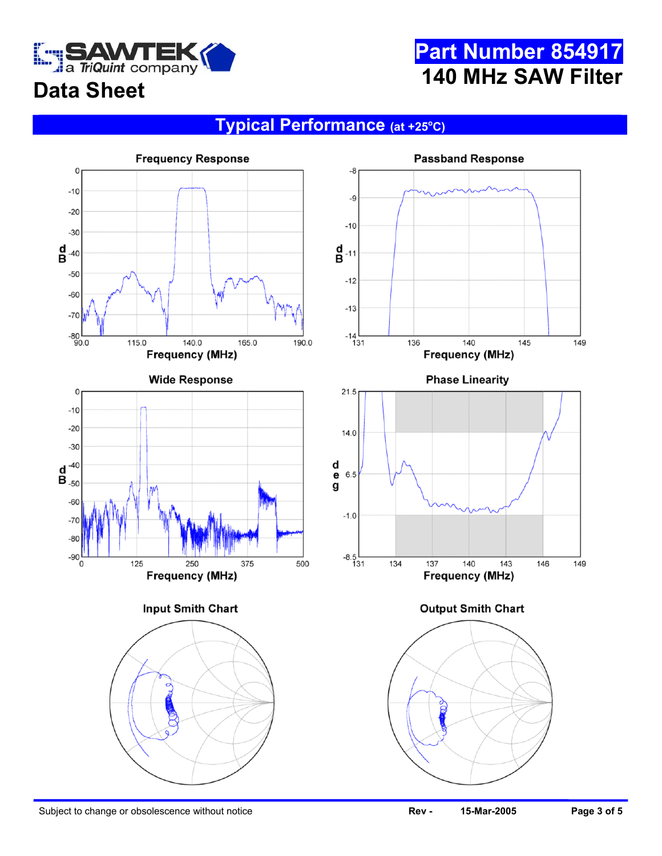

## **Part Number 854917 140 MHz SAW Filter**

## **Data Sheet**

#### **Typical Performance (at +25o C)**

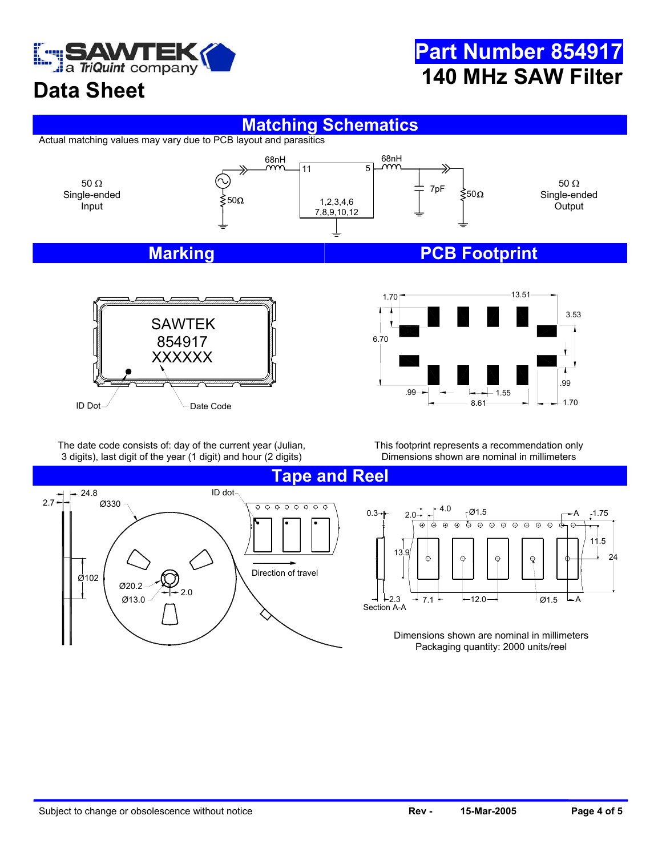

## **Part Number 854917 140 MHz SAW Filter**

### **Data Sheet**

#### **Matching Schematics**

Actual matching values may vary due to PCB layout and parasitics



# XXXXXX  $ID Dot\_$  Date Code SAWTEK 854917



The date code consists of: day of the current year (Julian, 3 digits), last digit of the year (1 digit) and hour (2 digits)

This footprint represents a recommendation only Dimensions shown are nominal in millimeters



 $0.3 + 20$   $1 + 4.0$   $0.3 + 5$ A 1.75 ക  $\odot$ ক্ত  $\overline{\odot}$  $\overline{\odot}$  $\overline{\circ}$  $\overline{\odot}$  $\overline{\Theta}$  $\overline{\circ}$  $\oplus$ 11.5 13.9 24  $-12.0$  $- A$ 3  $\rightarrow$  7.1  $\leftarrow$  12.0  $\rightarrow$   $\leftarrow$  12.0 Section A-A

> Dimensions shown are nominal in millimeters Packaging quantity: 2000 units/reel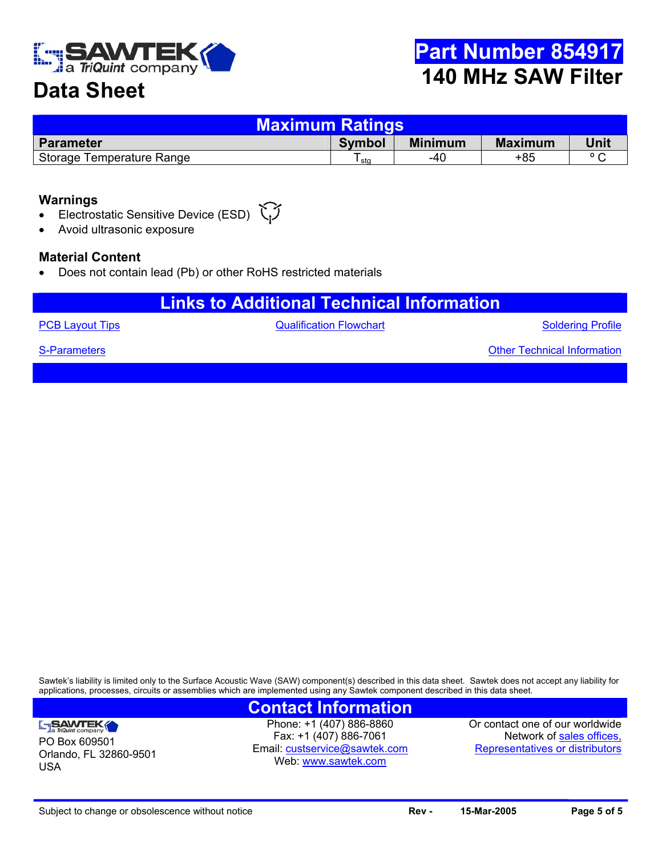

### **Data Sheet**

| <u>Maximum Ratings,</u>   |               |                |                |                |  |  |  |
|---------------------------|---------------|----------------|----------------|----------------|--|--|--|
| <b>Parameter</b>          | <b>Symbol</b> | <b>Minimum</b> | <b>Maximum</b> | Unit           |  |  |  |
| Storage Temperature Range | sta           | -40            | +85            | $\circ$ $\sim$ |  |  |  |

#### **Warnings**

- Electrostatic Sensitive Device (ESD)
- Avoid ultrasonic exposure

#### **Material Content**

• Does not contain lead (Pb) or other RoHS restricted materials

#### **Links to Additional Technical Information**

**[PCB Layout Tips](http://www.triquint.com/company/divisions/sawtek/pcbtips.cfm) CONFIDENTIAL CONTROLLY A CONTROLLY CONTROLLY A CONTROLLY A CONTROLLY A CONTROLLY A CONTROLLY A CONTROLLY A CONTROLLY A CONTROLLY A CONTROLLY A CONTROLLY A CONTROLLY A CONTROLLY A CONTROLLY A CONTROLLY A** 

Soldering Profile

Other Technical Information

[S-Parameters](mailto:custservice@sawtek.com?subject=S-parameter request)

PO Box 609501

SAWTEK

USA

Orlando, FL 32860-9501

Sawtek's liability is limited only to the Surface Acoustic Wave (SAW) component(s) described in this data sheet. Sawtek does not accept any liability for applications, processes, circuits or assemblies which are implemented using any Sawtek component described in this data sheet.

#### **Contact Information**

Phone: +1 (407) 886-8860 Fax: +1 (407) 886-7061 Email: [custservice@sawtek.com](mailto:custservice@sawtek.com) Web: [www.sawtek.com](http://www.triquint.com/company/divisions/sawtek/)

Or contact one of our worldwide Network of [sales offices,](http://www.triquint.com/sales/) Representatives or distributors

Subject to change or obsolescence without notice **Rev - Rev - 15-Mar-2005 Page 5 of 5 Page 5 of 5**